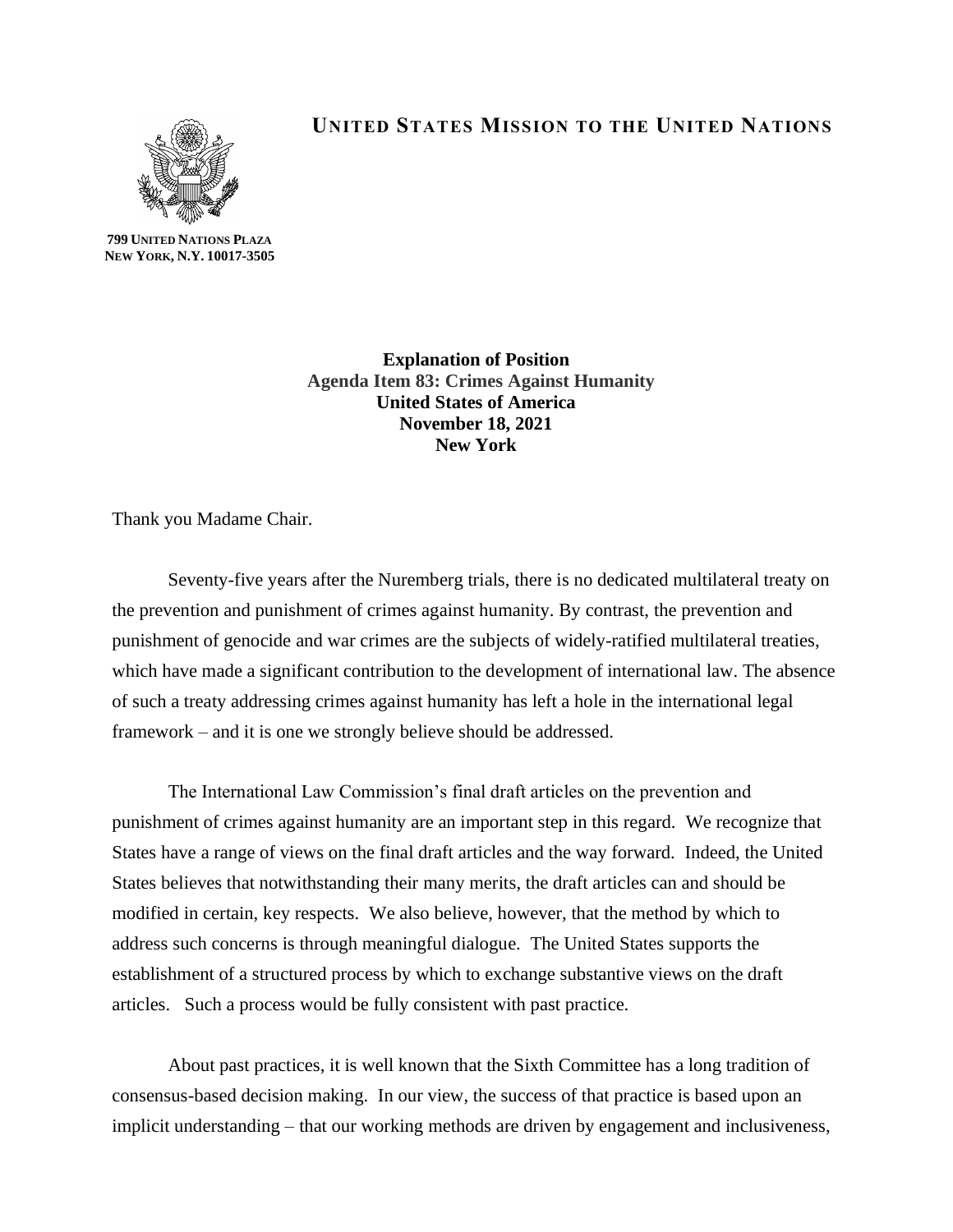

## **UNITED STATES MISSION TO THE UNITED NATIONS**

**799 UNITED NATIONS PLAZA NEW YORK, N.Y. 10017-3505**

> **Explanation of Position Agenda Item 83: Crimes Against Humanity United States of America November 18, 2021 New York**

Thank you Madame Chair.

Seventy-five years after the Nuremberg trials, there is no dedicated multilateral treaty on the prevention and punishment of crimes against humanity. By contrast, the prevention and punishment of genocide and war crimes are the subjects of widely-ratified multilateral treaties, which have made a significant contribution to the development of international law. The absence of such a treaty addressing crimes against humanity has left a hole in the international legal framework – and it is one we strongly believe should be addressed.

The International Law Commission's final draft articles on the prevention and punishment of crimes against humanity are an important step in this regard. We recognize that States have a range of views on the final draft articles and the way forward. Indeed, the United States believes that notwithstanding their many merits, the draft articles can and should be modified in certain, key respects. We also believe, however, that the method by which to address such concerns is through meaningful dialogue. The United States supports the establishment of a structured process by which to exchange substantive views on the draft articles. Such a process would be fully consistent with past practice.

About past practices, it is well known that the Sixth Committee has a long tradition of consensus-based decision making. In our view, the success of that practice is based upon an implicit understanding – that our working methods are driven by engagement and inclusiveness,